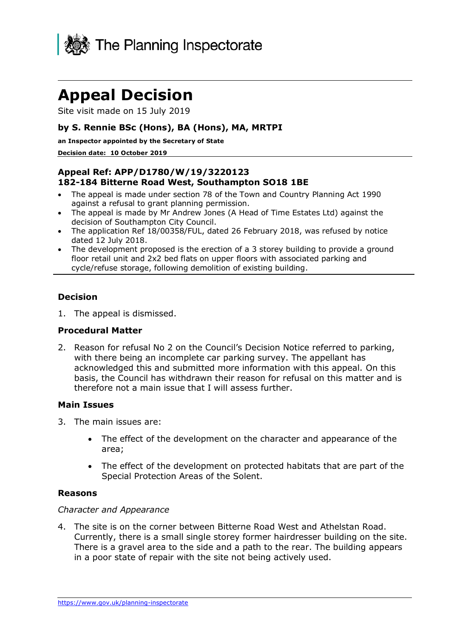

# **Appeal Decision**

Site visit made on 15 July 2019

## **by S. Rennie BSc (Hons), BA (Hons), MA, MRTPI**

**an Inspector appointed by the Secretary of State** 

#### **Decision date: 10 October 2019**

## **Appeal Ref: APP/D1780/W/19/3220123 182-184 Bitterne Road West, Southampton SO18 1BE**

- The appeal is made under section 78 of the Town and Country Planning Act 1990 against a refusal to grant planning permission.
- The appeal is made by Mr Andrew Jones (A Head of Time Estates Ltd) against the decision of Southampton City Council.
- The application Ref 18/00358/FUL, dated 26 February 2018, was refused by notice dated 12 July 2018.
- The development proposed is the erection of a 3 storey building to provide a ground floor retail unit and 2x2 bed flats on upper floors with associated parking and cycle/refuse storage, following demolition of existing building.

## **Decision**

1. The appeal is dismissed.

### **Procedural Matter**

2. Reason for refusal No 2 on the Council's Decision Notice referred to parking, with there being an incomplete car parking survey. The appellant has acknowledged this and submitted more information with this appeal. On this basis, the Council has withdrawn their reason for refusal on this matter and is therefore not a main issue that I will assess further.

### **Main Issues**

- 3. The main issues are:
	- The effect of the development on the character and appearance of the area;
	- The effect of the development on protected habitats that are part of the Special Protection Areas of the Solent.

### **Reasons**

### *Character and Appearance*

4. The site is on the corner between Bitterne Road West and Athelstan Road. Currently, there is a small single storey former hairdresser building on the site. There is a gravel area to the side and a path to the rear. The building appears in a poor state of repair with the site not being actively used.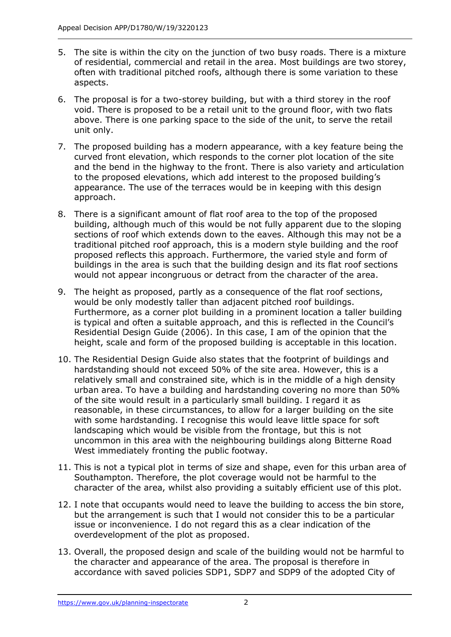- 5. The site is within the city on the junction of two busy roads. There is a mixture of residential, commercial and retail in the area. Most buildings are two storey, often with traditional pitched roofs, although there is some variation to these aspects.
- 6. The proposal is for a two-storey building, but with a third storey in the roof void. There is proposed to be a retail unit to the ground floor, with two flats above. There is one parking space to the side of the unit, to serve the retail unit only.
- 7. The proposed building has a modern appearance, with a key feature being the curved front elevation, which responds to the corner plot location of the site and the bend in the highway to the front. There is also variety and articulation to the proposed elevations, which add interest to the proposed building's appearance. The use of the terraces would be in keeping with this design approach.
- 8. There is a significant amount of flat roof area to the top of the proposed building, although much of this would be not fully apparent due to the sloping sections of roof which extends down to the eaves. Although this may not be a traditional pitched roof approach, this is a modern style building and the roof proposed reflects this approach. Furthermore, the varied style and form of buildings in the area is such that the building design and its flat roof sections would not appear incongruous or detract from the character of the area.
- 9. The height as proposed, partly as a consequence of the flat roof sections, would be only modestly taller than adjacent pitched roof buildings. Furthermore, as a corner plot building in a prominent location a taller building is typical and often a suitable approach, and this is reflected in the Council's Residential Design Guide (2006). In this case, I am of the opinion that the height, scale and form of the proposed building is acceptable in this location.
- 10. The Residential Design Guide also states that the footprint of buildings and hardstanding should not exceed 50% of the site area. However, this is a relatively small and constrained site, which is in the middle of a high density urban area. To have a building and hardstanding covering no more than 50% of the site would result in a particularly small building. I regard it as reasonable, in these circumstances, to allow for a larger building on the site with some hardstanding. I recognise this would leave little space for soft landscaping which would be visible from the frontage, but this is not uncommon in this area with the neighbouring buildings along Bitterne Road West immediately fronting the public footway.
- 11. This is not a typical plot in terms of size and shape, even for this urban area of Southampton. Therefore, the plot coverage would not be harmful to the character of the area, whilst also providing a suitably efficient use of this plot.
- 12. I note that occupants would need to leave the building to access the bin store, but the arrangement is such that I would not consider this to be a particular issue or inconvenience. I do not regard this as a clear indication of the overdevelopment of the plot as proposed.
- 13. Overall, the proposed design and scale of the building would not be harmful to the character and appearance of the area. The proposal is therefore in accordance with saved policies SDP1, SDP7 and SDP9 of the adopted City of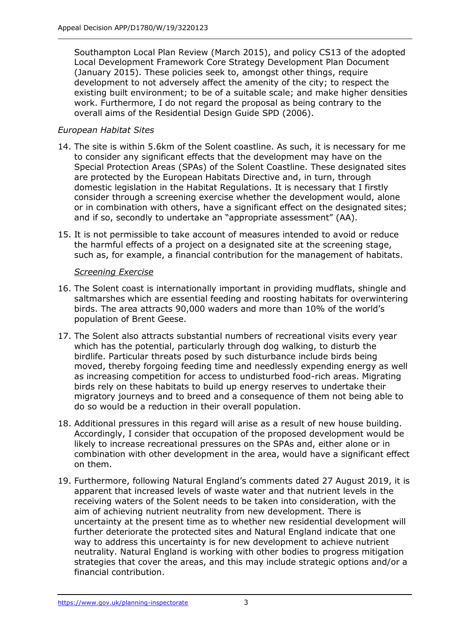Southampton Local Plan Review (March 2015), and policy CS13 of the adopted Local Development Framework Core Strategy Development Plan Document (January 2015). These policies seek to, amongst other things, require development to not adversely affect the amenity of the city; to respect the existing built environment; to be of a suitable scale; and make higher densities work. Furthermore, I do not regard the proposal as being contrary to the overall aims of the Residential Design Guide SPD (2006).

## *European Habitat Sites*

- 14. The site is within 5.6km of the Solent coastline. As such, it is necessary for me to consider any significant effects that the development may have on the Special Protection Areas (SPAs) of the Solent Coastline. These designated sites are protected by the European Habitats Directive and, in turn, through domestic legislation in the Habitat Regulations. It is necessary that I firstly consider through a screening exercise whether the development would, alone or in combination with others, have a significant effect on the designated sites; and if so, secondly to undertake an "appropriate assessment" (AA).
- 15. It is not permissible to take account of measures intended to avoid or reduce the harmful effects of a project on a designated site at the screening stage, such as, for example, a financial contribution for the management of habitats.

## *Screening Exercise*

- 16. The Solent coast is internationally important in providing mudflats, shingle and saltmarshes which are essential feeding and roosting habitats for overwintering birds. The area attracts 90,000 waders and more than 10% of the world's population of Brent Geese.
- 17. The Solent also attracts substantial numbers of recreational visits every year which has the potential, particularly through dog walking, to disturb the birdlife. Particular threats posed by such disturbance include birds being moved, thereby forgoing feeding time and needlessly expending energy as well as increasing competition for access to undisturbed food-rich areas. Migrating birds rely on these habitats to build up energy reserves to undertake their migratory journeys and to breed and a consequence of them not being able to do so would be a reduction in their overall population.
- 18. Additional pressures in this regard will arise as a result of new house building. Accordingly, I consider that occupation of the proposed development would be likely to increase recreational pressures on the SPAs and, either alone or in combination with other development in the area, would have a significant effect on them.
- 19. Furthermore, following Natural England's comments dated 27 August 2019, it is apparent that increased levels of waste water and that nutrient levels in the receiving waters of the Solent needs to be taken into consideration, with the aim of achieving nutrient neutrality from new development. There is uncertainty at the present time as to whether new residential development will further deteriorate the protected sites and Natural England indicate that one way to address this uncertainty is for new development to achieve nutrient neutrality. Natural England is working with other bodies to progress mitigation strategies that cover the areas, and this may include strategic options and/or a financial contribution.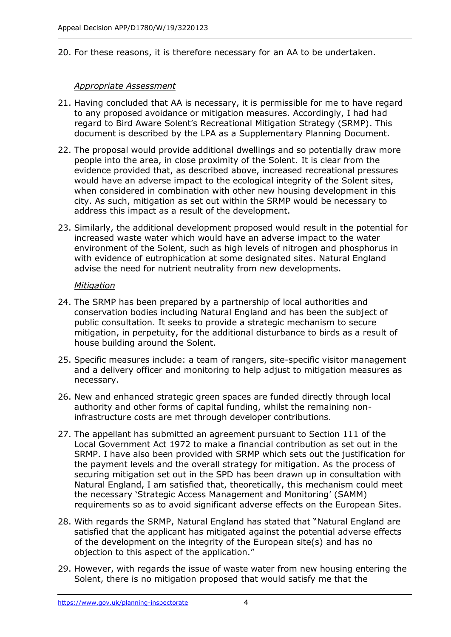20. For these reasons, it is therefore necessary for an AA to be undertaken.

## *Appropriate Assessment*

- 21. Having concluded that AA is necessary, it is permissible for me to have regard to any proposed avoidance or mitigation measures. Accordingly, I had had regard to Bird Aware Solent's Recreational Mitigation Strategy (SRMP). This document is described by the LPA as a Supplementary Planning Document.
- 22. The proposal would provide additional dwellings and so potentially draw more people into the area, in close proximity of the Solent. It is clear from the evidence provided that, as described above, increased recreational pressures would have an adverse impact to the ecological integrity of the Solent sites, when considered in combination with other new housing development in this city. As such, mitigation as set out within the SRMP would be necessary to address this impact as a result of the development.
- 23. Similarly, the additional development proposed would result in the potential for increased waste water which would have an adverse impact to the water environment of the Solent, such as high levels of nitrogen and phosphorus in with evidence of eutrophication at some designated sites. Natural England advise the need for nutrient neutrality from new developments.

## *Mitigation*

- 24. The SRMP has been prepared by a partnership of local authorities and conservation bodies including Natural England and has been the subject of public consultation. It seeks to provide a strategic mechanism to secure mitigation, in perpetuity, for the additional disturbance to birds as a result of house building around the Solent.
- 25. Specific measures include: a team of rangers, site-specific visitor management and a delivery officer and monitoring to help adjust to mitigation measures as necessary.
- 26. New and enhanced strategic green spaces are funded directly through local authority and other forms of capital funding, whilst the remaining noninfrastructure costs are met through developer contributions.
- 27. The appellant has submitted an agreement pursuant to Section 111 of the Local Government Act 1972 to make a financial contribution as set out in the SRMP. I have also been provided with SRMP which sets out the justification for the payment levels and the overall strategy for mitigation. As the process of securing mitigation set out in the SPD has been drawn up in consultation with Natural England, I am satisfied that, theoretically, this mechanism could meet the necessary 'Strategic Access Management and Monitoring' (SAMM) requirements so as to avoid significant adverse effects on the European Sites.
- 28. With regards the SRMP, Natural England has stated that "Natural England are satisfied that the applicant has mitigated against the potential adverse effects of the development on the integrity of the European site(s) and has no objection to this aspect of the application."
- 29. However, with regards the issue of waste water from new housing entering the Solent, there is no mitigation proposed that would satisfy me that the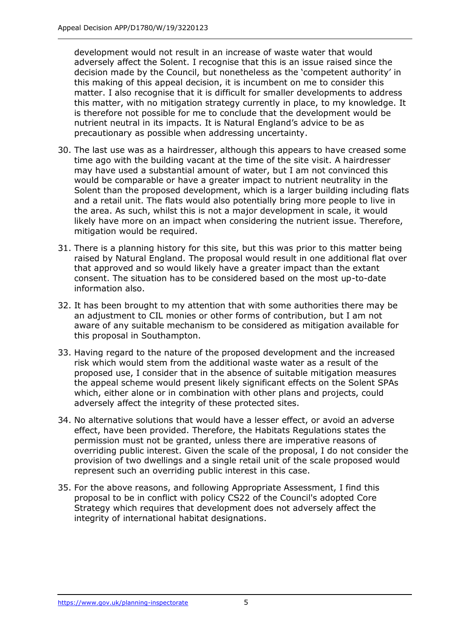development would not result in an increase of waste water that would adversely affect the Solent. I recognise that this is an issue raised since the decision made by the Council, but nonetheless as the 'competent authority' in this making of this appeal decision, it is incumbent on me to consider this matter. I also recognise that it is difficult for smaller developments to address this matter, with no mitigation strategy currently in place, to my knowledge. It is therefore not possible for me to conclude that the development would be nutrient neutral in its impacts. It is Natural England's advice to be as precautionary as possible when addressing uncertainty.

- 30. The last use was as a hairdresser, although this appears to have creased some time ago with the building vacant at the time of the site visit. A hairdresser may have used a substantial amount of water, but I am not convinced this would be comparable or have a greater impact to nutrient neutrality in the Solent than the proposed development, which is a larger building including flats and a retail unit. The flats would also potentially bring more people to live in the area. As such, whilst this is not a major development in scale, it would likely have more on an impact when considering the nutrient issue. Therefore, mitigation would be required.
- 31. There is a planning history for this site, but this was prior to this matter being raised by Natural England. The proposal would result in one additional flat over that approved and so would likely have a greater impact than the extant consent. The situation has to be considered based on the most up-to-date information also.
- 32. It has been brought to my attention that with some authorities there may be an adjustment to CIL monies or other forms of contribution, but I am not aware of any suitable mechanism to be considered as mitigation available for this proposal in Southampton.
- 33. Having regard to the nature of the proposed development and the increased risk which would stem from the additional waste water as a result of the proposed use, I consider that in the absence of suitable mitigation measures the appeal scheme would present likely significant effects on the Solent SPAs which, either alone or in combination with other plans and projects, could adversely affect the integrity of these protected sites.
- 34. No alternative solutions that would have a lesser effect, or avoid an adverse effect, have been provided. Therefore, the Habitats Regulations states the permission must not be granted, unless there are imperative reasons of overriding public interest. Given the scale of the proposal, I do not consider the provision of two dwellings and a single retail unit of the scale proposed would represent such an overriding public interest in this case.
- 35. For the above reasons, and following Appropriate Assessment, I find this proposal to be in conflict with policy CS22 of the Council's adopted Core Strategy which requires that development does not adversely affect the integrity of international habitat designations.